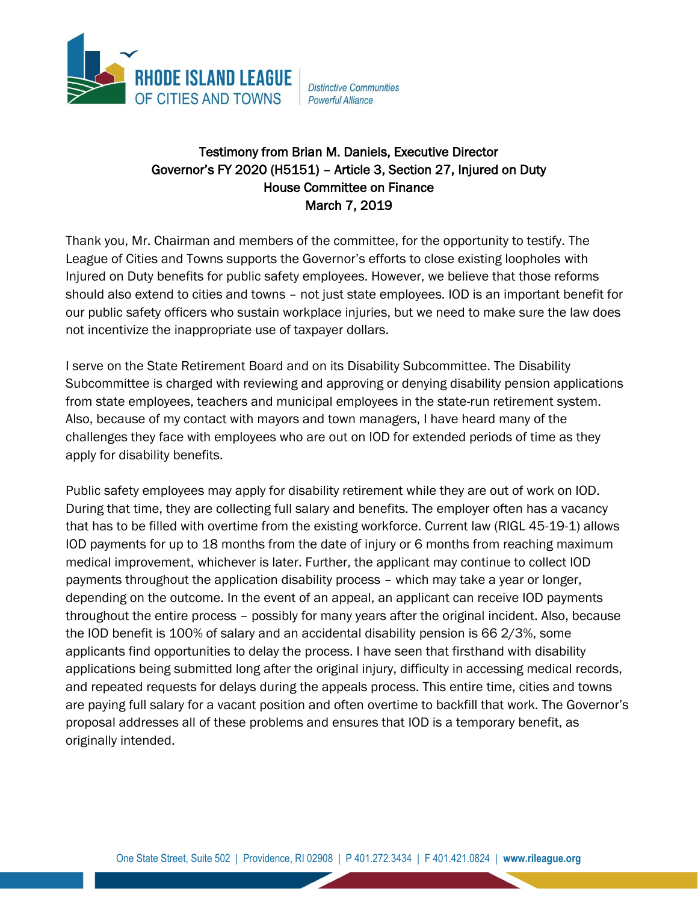

**Distinctive Communities** Powerful Alliance

## Testimony from Brian M. Daniels, Executive Director Governor's FY 2020 (H5151) – Article 3, Section 27, Injured on Duty House Committee on Finance March 7, 2019

Thank you, Mr. Chairman and members of the committee, for the opportunity to testify. The League of Cities and Towns supports the Governor's efforts to close existing loopholes with Injured on Duty benefits for public safety employees. However, we believe that those reforms should also extend to cities and towns – not just state employees. IOD is an important benefit for our public safety officers who sustain workplace injuries, but we need to make sure the law does not incentivize the inappropriate use of taxpayer dollars.

I serve on the State Retirement Board and on its Disability Subcommittee. The Disability Subcommittee is charged with reviewing and approving or denying disability pension applications from state employees, teachers and municipal employees in the state-run retirement system. Also, because of my contact with mayors and town managers, I have heard many of the challenges they face with employees who are out on IOD for extended periods of time as they apply for disability benefits.

Public safety employees may apply for disability retirement while they are out of work on IOD. During that time, they are collecting full salary and benefits. The employer often has a vacancy that has to be filled with overtime from the existing workforce. Current law (RIGL 45-19-1) allows IOD payments for up to 18 months from the date of injury or 6 months from reaching maximum medical improvement, whichever is later. Further, the applicant may continue to collect IOD payments throughout the application disability process – which may take a year or longer, depending on the outcome. In the event of an appeal, an applicant can receive IOD payments throughout the entire process – possibly for many years after the original incident. Also, because the IOD benefit is 100% of salary and an accidental disability pension is 66 2/3%, some applicants find opportunities to delay the process. I have seen that firsthand with disability applications being submitted long after the original injury, difficulty in accessing medical records, and repeated requests for delays during the appeals process. This entire time, cities and towns are paying full salary for a vacant position and often overtime to backfill that work. The Governor's proposal addresses all of these problems and ensures that IOD is a temporary benefit, as originally intended.